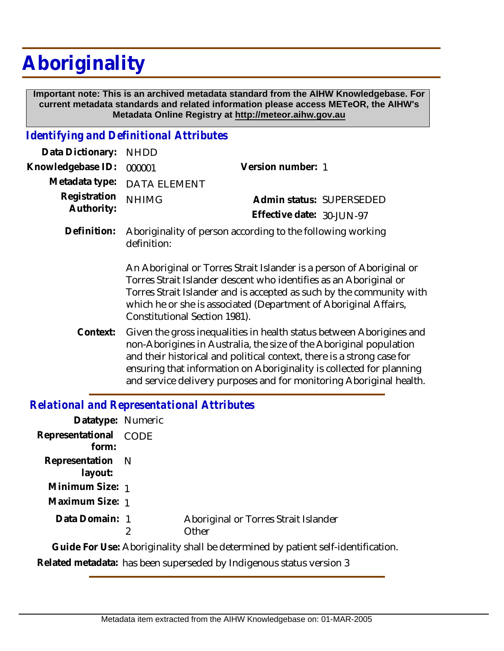## **Aboriginality**

 **Important note: This is an archived metadata standard from the AIHW Knowledgebase. For current metadata standards and related information please access METeOR, the AIHW's Metadata Online Registry at http://meteor.aihw.gov.au**

## *Identifying and Definitional Attributes*

| Data Dictionary: NHDD    |                                                                        |                           |  |
|--------------------------|------------------------------------------------------------------------|---------------------------|--|
| Knowledgebase ID: 000001 |                                                                        | Version number: 1         |  |
|                          | Metadata type: DATA ELEMENT                                            |                           |  |
| Registration NHIMG       |                                                                        | Admin status: SUPERSEDED  |  |
| Authority:               |                                                                        | Effective date: 30-JUN-97 |  |
|                          | Definition: Aboriginality of person according to the following working |                           |  |

An Aboriginal or Torres Strait Islander is a person of Aboriginal or Torres Strait Islander descent who identifies as an Aboriginal or Torres Strait Islander and is accepted as such by the community with which he or she is associated (Department of Aboriginal Affairs, Constitutional Section 1981).

Given the gross inequalities in health status between Aborigines and non-Aborigines in Australia, the size of the Aboriginal population and their historical and political context, there is a strong case for ensuring that information on Aboriginality is collected for planning and service delivery purposes and for monitoring Aboriginal health. **Context:**

## *Relational and Representational Attributes*

definition:

| Datatype: Numeric              |   |                                                                                  |
|--------------------------------|---|----------------------------------------------------------------------------------|
| Representational CODE<br>form: |   |                                                                                  |
| Representation N<br>layout:    |   |                                                                                  |
| Minimum Size: 1                |   |                                                                                  |
| Maximum Size: 1                |   |                                                                                  |
| Data Domain: 1                 | 2 | Aboriginal or Torres Strait Islander<br>Other                                    |
|                                |   | Guide For Use: Aboriginality shall be determined by patient self-identification. |

**Related metadata:** has been superseded by Indigenous status version 3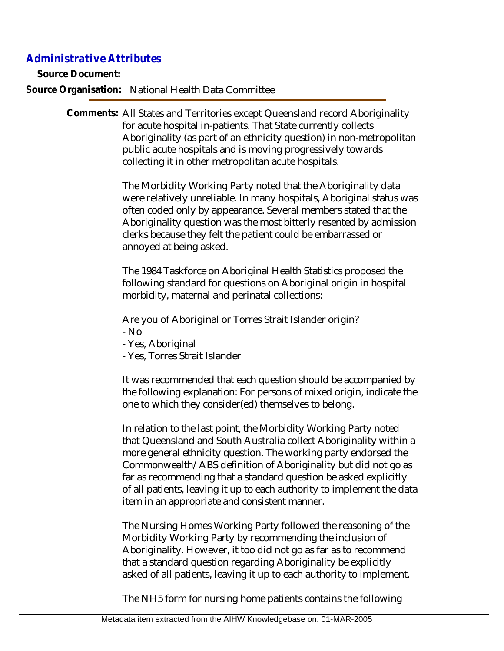## *Administrative Attributes*

**Source Document:**

**Source Organisation:** National Health Data Committee

Comments: All States and Territories except Queensland record Aboriginality for acute hospital in-patients. That State currently collects Aboriginality (as part of an ethnicity question) in non-metropolitan public acute hospitals and is moving progressively towards collecting it in other metropolitan acute hospitals.

> The Morbidity Working Party noted that the Aboriginality data were relatively unreliable. In many hospitals, Aboriginal status was often coded only by appearance. Several members stated that the Aboriginality question was the most bitterly resented by admission clerks because they felt the patient could be embarrassed or annoyed at being asked.

The 1984 Taskforce on Aboriginal Health Statistics proposed the following standard for questions on Aboriginal origin in hospital morbidity, maternal and perinatal collections:

Are you of Aboriginal or Torres Strait Islander origin? - No

- Yes, Aboriginal
- Yes, Torres Strait Islander

It was recommended that each question should be accompanied by the following explanation: For persons of mixed origin, indicate the one to which they consider(ed) themselves to belong.

In relation to the last point, the Morbidity Working Party noted that Queensland and South Australia collect Aboriginality within a more general ethnicity question. The working party endorsed the Commonwealth/ABS definition of Aboriginality but did not go as far as recommending that a standard question be asked explicitly of all patients, leaving it up to each authority to implement the data item in an appropriate and consistent manner.

The Nursing Homes Working Party followed the reasoning of the Morbidity Working Party by recommending the inclusion of Aboriginality. However, it too did not go as far as to recommend that a standard question regarding Aboriginality be explicitly asked of all patients, leaving it up to each authority to implement.

The NH5 form for nursing home patients contains the following